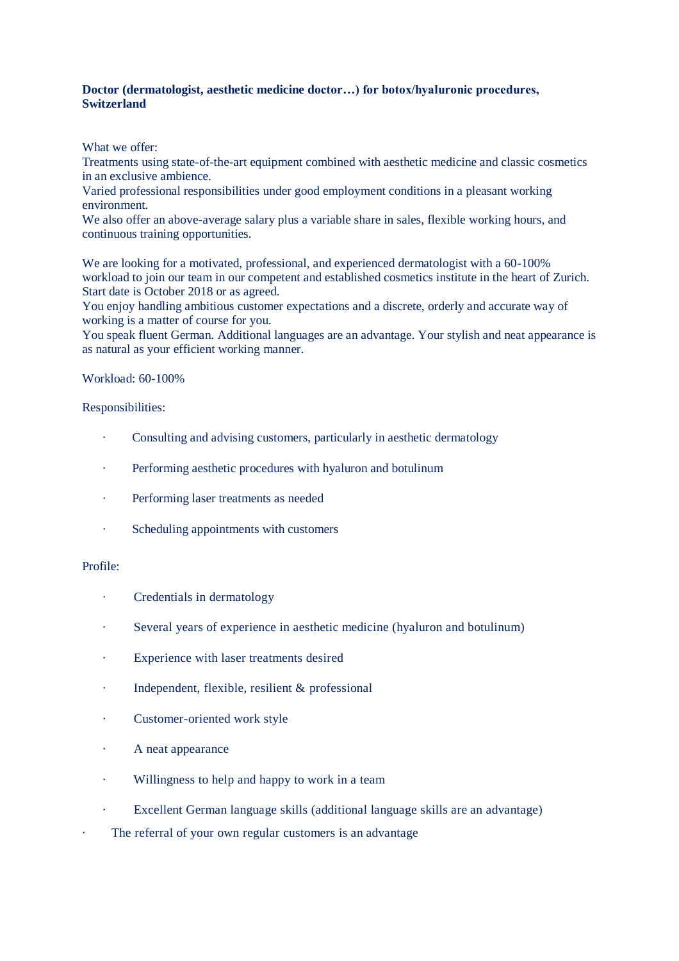## **Doctor (dermatologist, aesthetic medicine doctor…) for botox/hyaluronic procedures, Switzerland**

What we offer:

Treatments using state-of-the-art equipment combined with aesthetic medicine and classic cosmetics in an exclusive ambience.

Varied professional responsibilities under good employment conditions in a pleasant working environment.

We also offer an above-average salary plus a variable share in sales, flexible working hours, and continuous training opportunities.

We are looking for a motivated, professional, and experienced dermatologist with a 60-100% workload to join our team in our competent and established cosmetics institute in the heart of Zurich. Start date is October 2018 or as agreed.

You enjoy handling ambitious customer expectations and a discrete, orderly and accurate way of working is a matter of course for you.

You speak fluent German. Additional languages are an advantage. Your stylish and neat appearance is as natural as your efficient working manner.

#### Workload: 60-100%

## Responsibilities:

- · Consulting and advising customers, particularly in aesthetic dermatology
- · Performing aesthetic procedures with hyaluron and botulinum
- · Performing laser treatments as needed
- · Scheduling appointments with customers

#### Profile:

- Credentials in dermatology
- · Several years of experience in aesthetic medicine (hyaluron and botulinum)
- Experience with laser treatments desired
- Independent, flexible, resilient  $&$  professional
- · Customer-oriented work style
- · A neat appearance
- · Willingness to help and happy to work in a team
- · Excellent German language skills (additional language skills are an advantage)
- The referral of your own regular customers is an advantage